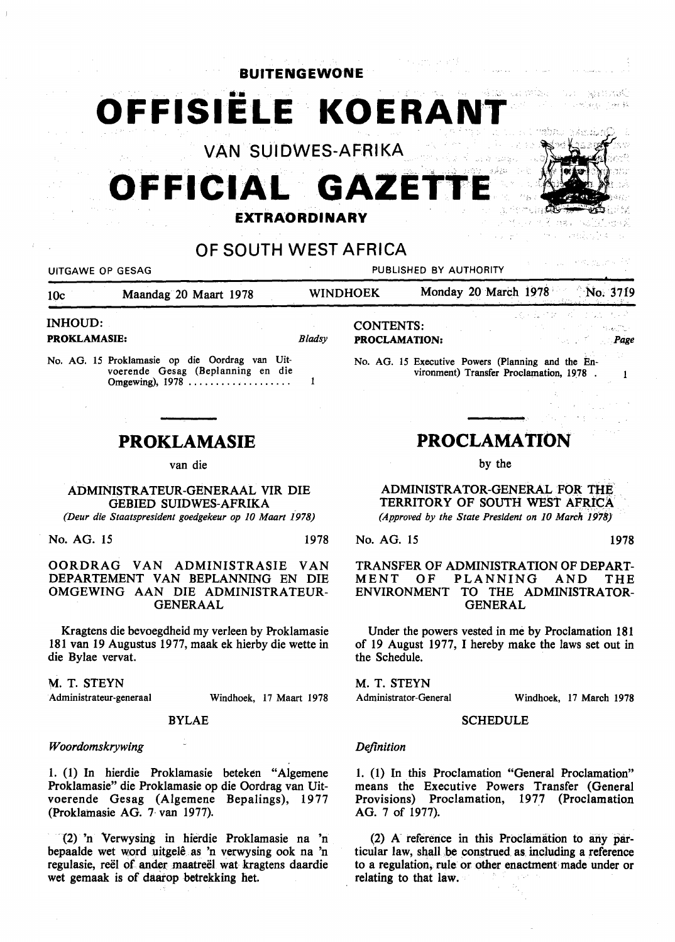**BUlTENGEWONE** 

OFFISIËLE KOERANT

VAN SUIDWES-AFRIKA

# **OFFICIAL GAZET**

### **EXTRAORDINARY**

# OF SOUTH WEST AFRICA

UITGAWE OP GESAG PUBLISHED BY AUTHORITY

IOc Maandag 20 Maart 1978 WINDHOEK Monday 20 March 1978 No. 3719

#### INHOUD:

PROKLAMASIE:

*Bladsy* 

No. AG. 15 Proklamasie op die Oordrag van Uitvoerende Gesag (Beplanning en die Omgewing), 1978 .....................  $\mathbf{1}$ 

## **PROKLAMASIE**

van die

ADMINISTRATEUR-GENERAAL VIR DIE GEBIED SUIDWES-AFRIKA

*(Deur die Staatspresident goedgekeur op 10 Maart 1978)* 

No. AG. 15 1978

#### OORDRAG VAN ADMINISTRASIE VAN DEPARTEMENT VAN BEPLANNING EN DIE OMGEWING AAN DIE ADMINISTRATEUR-GENERAAL

Kragtens die bevoegdheid my verleen by Proklamasie 181 van 19 Augustus 1977, maak ek hierby die wette in die Bylae vervat.

#### M. T. STEYN

· Administrateur-generaal Windhoek, 17 Maart 1978

#### BYLAE

#### *Woordomskrywing*

1. (1) In hierdie Proklamasie beteken "Algemene Proklamasie" die Proklamasie op die Oordrag van Uitvoerende Gesag (Algemene Bepalings), 19 77 (Proklatnasie AG. 7· van 1977).

(2) 'n "Verwysing in hierdie Proklamasie na 'n bepaalde wet word uitgelê as 'n verwysing ook na 'n regulasie, reël of ander maatreël wat kragtens daardie wet gemaak is of daarop betrekking het.

CONTENTS: PROCLAMATION:

No. AG. 15 Executive Powers (Planning and the Environment) Transfer Proclamation, 1978 .

# **PROCLAMATION**

by the

ADMINISTRATOR-GENERAL FOR TIIE TERRITORY OF SOUTH WEST AFRiCA *(Approved by the State President on 10 March* 1978}

No. AG. 15 1978

*P(lge* 

 $\mathbf{1}$ 

 $\tau \sim 1$ 

saatti matil

#### TRANSFER OF ADMINISTRATION OF DEPART-MENT OF PLANNING AND THE ENVIRONMENT TO THE ADMINISTRATOR-GENERAL

Under the powers vested in me by Proclamation 181 of 19 August 1977, I hereby make the laws set out in the Schedule.

M. T. STEYN

Administrator-General

Windhoek, 17 March 1978

#### **SCHEDULE**

#### *Definition*

1. (1) In this Proclamation "General Proclamation" means the Executive Powers Transfer (General Provisions) Proclamation, 1977 (Proclamation AG. 7 of 1977).

(2) A reference in this Proclamation to any particular law, shall be construed as including a reference to a regulation, rule or other enactment· made under or relating to that law.